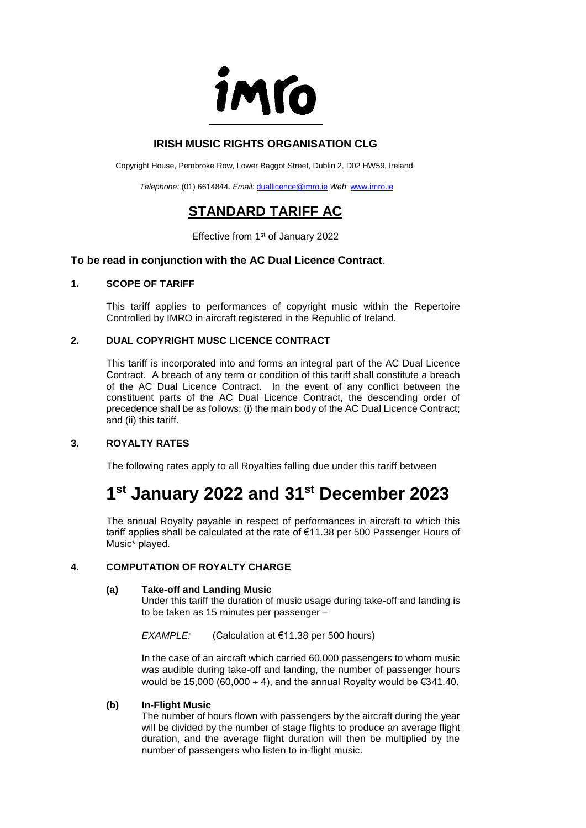

# **IRISH MUSIC RIGHTS ORGANISATION CLG**

Copyright House, Pembroke Row, Lower Baggot Street, Dublin 2, D02 HW59, Ireland.

*Telephone:* (01) 6614844. *Email:* [duallicence@imro.ie](mailto:duallicence@imro.ie) *Web*: [www.imro.ie](http://www.imro.ie/)

# **STANDARD TARIFF AC**

Effective from 1<sup>st</sup> of January 2022

## **To be read in conjunction with the AC Dual Licence Contract**.

#### **1. SCOPE OF TARIFF**

This tariff applies to performances of copyright music within the Repertoire Controlled by IMRO in aircraft registered in the Republic of Ireland.

### **2. DUAL COPYRIGHT MUSC LICENCE CONTRACT**

This tariff is incorporated into and forms an integral part of the AC Dual Licence Contract. A breach of any term or condition of this tariff shall constitute a breach of the AC Dual Licence Contract. In the event of any conflict between the constituent parts of the AC Dual Licence Contract, the descending order of precedence shall be as follows: (i) the main body of the AC Dual Licence Contract; and (ii) this tariff.

### **3. ROYALTY RATES**

The following rates apply to all Royalties falling due under this tariff between

# **1 st January 2022 and 31st December 2023**

The annual Royalty payable in respect of performances in aircraft to which this tariff applies shall be calculated at the rate of €11.38 per 500 Passenger Hours of Music\* played.

### **4. COMPUTATION OF ROYALTY CHARGE**

#### **(a) Take-off and Landing Music**

Under this tariff the duration of music usage during take-off and landing is to be taken as 15 minutes per passenger –

*EXAMPLE:* (Calculation at €11.38 per 500 hours)

In the case of an aircraft which carried 60,000 passengers to whom music was audible during take-off and landing, the number of passenger hours would be 15,000 (60,000  $\div$  4), and the annual Royalty would be  $\epsilon$ 341.40.

### **(b) In-Flight Music**

The number of hours flown with passengers by the aircraft during the year will be divided by the number of stage flights to produce an average flight duration, and the average flight duration will then be multiplied by the number of passengers who listen to in-flight music.